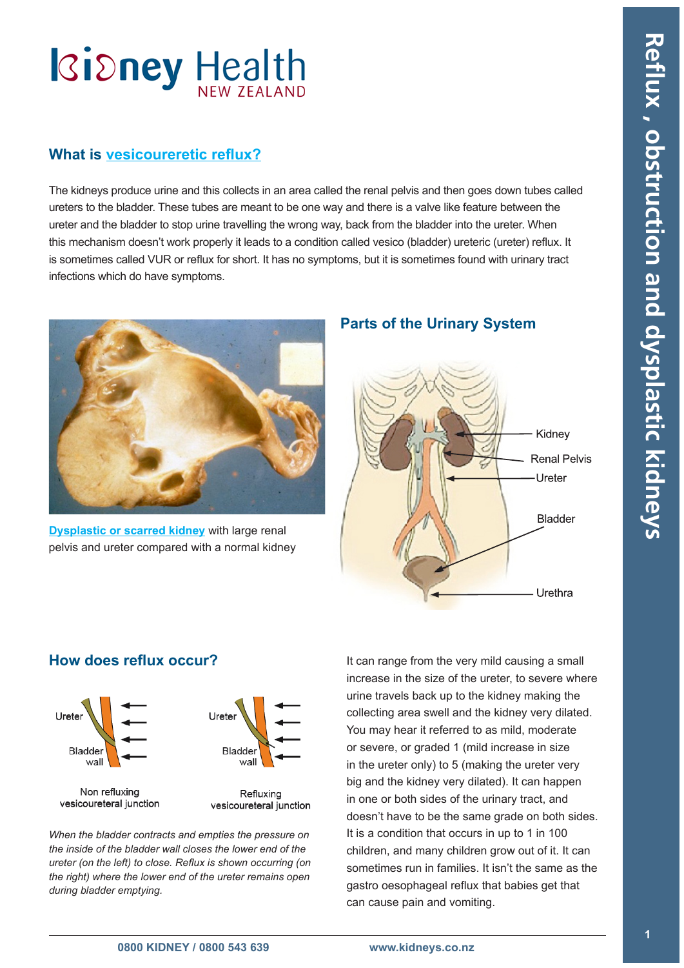# **Kidney Health**

### **What is [vesicoureretic reflux](#page-3-0)?**

The kidneys produce urine and this collects in an area called the renal pelvis and then goes down tubes called ureters to the bladder. These tubes are meant to be one way and there is a valve like feature between the ureter and the bladder to stop urine travelling the wrong way, back from the bladder into the ureter. When this mechanism doesn't work properly it leads to a condition called vesico (bladder) ureteric (ureter) reflux. It is sometimes called VUR or reflux for short. It has no symptoms, but it is sometimes found with urinary tract infections which do have symptoms.



**[Dysplastic or scarred kidney](#page-3-0)** with large renal pelvis and ureter compared with a normal kidney

### **Parts of the Urinary System**



### **How does reflux occur?**



Non refluxing vesicoureteral junction

Refluxing vesicoureteral junction

*When the bladder contracts and empties the pressure on the inside of the bladder wall closes the lower end of the ureter (on the left) to close. Reflux is shown occurring (on the right) where the lower end of the ureter remains open during bladder emptying.*

It can range from the very mild causing a small increase in the size of the ureter, to severe where urine travels back up to the kidney making the collecting area swell and the kidney very dilated. You may hear it referred to as mild, moderate or severe, or graded 1 (mild increase in size in the ureter only) to 5 (making the ureter very big and the kidney very dilated). It can happen in one or both sides of the urinary tract, and doesn't have to be the same grade on both sides. It is a condition that occurs in up to 1 in 100 children, and many children grow out of it. It can sometimes run in families. It isn't the same as the gastro oesophageal reflux that babies get that can cause pain and vomiting.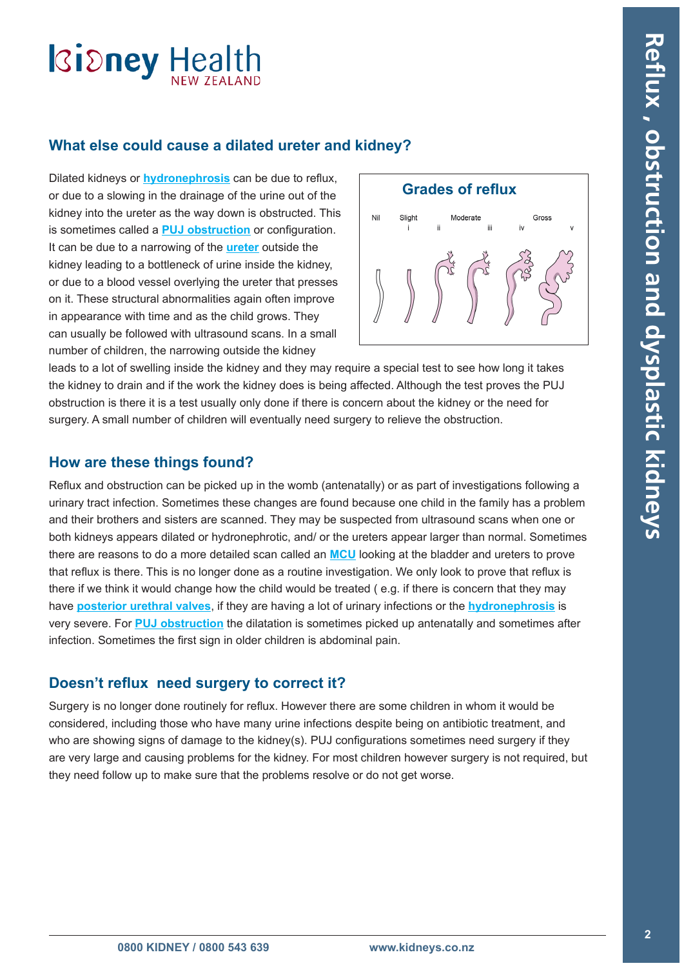## **Ridney Health**

### **What else could cause a dilated ureter and kidney?**

Dilated kidneys or **[hydronephrosis](#page-3-0)** can be due to reflux, or due to a slowing in the drainage of the urine out of the kidney into the ureter as the way down is obstructed. This is sometimes called a **[PUJ obstruction](#page-3-0)** or configuration. It can be due to a narrowing of the **[ureter](#page-3-0)** outside the kidney leading to a bottleneck of urine inside the kidney, or due to a blood vessel overlying the ureter that presses on it. These structural abnormalities again often improve in appearance with time and as the child grows. They can usually be followed with ultrasound scans. In a small number of children, the narrowing outside the kidney



leads to a lot of swelling inside the kidney and they may require a special test to see how long it takes the kidney to drain and if the work the kidney does is being affected. Although the test proves the PUJ obstruction is there it is a test usually only done if there is concern about the kidney or the need for surgery. A small number of children will eventually need surgery to relieve the obstruction.

### **How are these things found?**

Reflux and obstruction can be picked up in the womb (antenatally) or as part of investigations following a urinary tract infection. Sometimes these changes are found because one child in the family has a problem and their brothers and sisters are scanned. They may be suspected from ultrasound scans when one or both kidneys appears dilated or hydronephrotic, and/ or the ureters appear larger than normal. Sometimes there are reasons to do a more detailed scan called an **[MCU](#page-3-0)** looking at the bladder and ureters to prove that reflux is there. This is no longer done as a routine investigation. We only look to prove that reflux is there if we think it would change how the child would be treated ( e.g. if there is concern that they may have **[posterior urethral valves](#page-3-0)**, if they are having a lot of urinary infections or the **[hydronephrosis](#page-3-0)** is very severe. For **[PUJ obstruction](#page-3-0)** the dilatation is sometimes picked up antenatally and sometimes after infection. Sometimes the first sign in older children is abdominal pain.

### **Doesn't reflux need surgery to correct it?**

Surgery is no longer done routinely for reflux. However there are some children in whom it would be considered, including those who have many urine infections despite being on antibiotic treatment, and who are showing signs of damage to the kidney(s). PUJ configurations sometimes need surgery if they are very large and causing problems for the kidney. For most children however surgery is not required, but they need follow up to make sure that the problems resolve or do not get worse.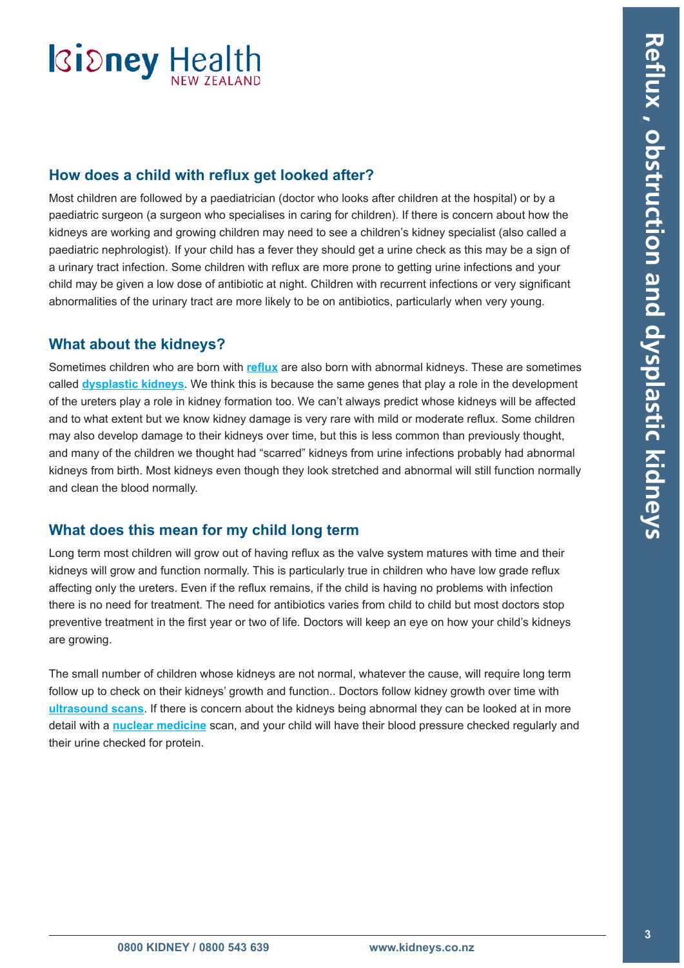### **Ridney Health**

### **How does a child with reflux get looked after?**

Most children are followed by a paediatrician (doctor who looks after children at the hospital) or by a paediatric surgeon (a surgeon who specialises in caring for children). If there is concern about how the kidneys are working and growing children may need to see a children's kidney specialist (also called a paediatric nephrologist). If your child has a fever they should get a urine check as this may be a sign of a urinary tract infection. Some children with reflux are more prone to getting urine infections and your child may be given a low dose of antibiotic at night. Children with recurrent infections or very significant abnormalities of the urinary tract are more likely to be on antibiotics, particularly when very young.

### **What about the kidneys?**

Sometimes children who are born with **[reflux](#page-3-0)** are also born with abnormal kidneys. These are sometimes called **[dysplastic kidneys](#page-3-0)**. We think this is because the same genes that play a role in the development of the ureters play a role in kidney formation too. We can't always predict whose kidneys will be affected and to what extent but we know kidney damage is very rare with mild or moderate reflux. Some children may also develop damage to their kidneys over time, but this is less common than previously thought, and many of the children we thought had "scarred" kidneys from urine infections probably had abnormal kidneys from birth. Most kidneys even though they look stretched and abnormal will still function normally and clean the blood normally.

### **What does this mean for my child long term**

Long term most children will grow out of having reflux as the valve system matures with time and their kidneys will grow and function normally. This is particularly true in children who have low grade reflux affecting only the ureters. Even if the reflux remains, if the child is having no problems with infection there is no need for treatment. The need for antibiotics varies from child to child but most doctors stop preventive treatment in the first year or two of life. Doctors will keep an eye on how your child's kidneys are growing.

The small number of children whose kidneys are not normal, whatever the cause, will require long term follow up to check on their kidneys' growth and function.. Doctors follow kidney growth over time with **[ultrasound scans](#page-3-0)**. If there is concern about the kidneys being abnormal they can be looked at in more detail with a **[nuclear medicine](#page-3-0)** scan, and your child will have their blood pressure checked regularly and their urine checked for protein.